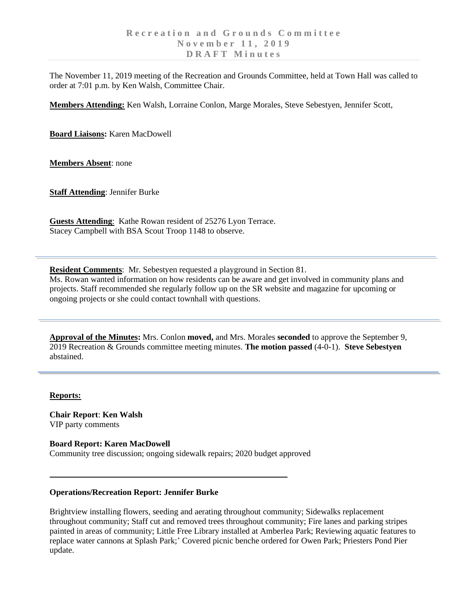The November 11, 2019 meeting of the Recreation and Grounds Committee, held at Town Hall was called to order at 7:01 p.m. by Ken Walsh, Committee Chair.

**Members Attending:** Ken Walsh, Lorraine Conlon, Marge Morales, Steve Sebestyen, Jennifer Scott,

**Board Liaisons:** Karen MacDowell

**Members Absent**: none

**Staff Attending**: Jennifer Burke

**Guests Attending**: Kathe Rowan resident of 25276 Lyon Terrace. Stacey Campbell with BSA Scout Troop 1148 to observe.

**Resident Comments**: Mr. Sebestyen requested a playground in Section 81. Ms. Rowan wanted information on how residents can be aware and get involved in community plans and projects. Staff recommended she regularly follow up on the SR website and magazine for upcoming or ongoing projects or she could contact townhall with questions.

**Approval of the Minutes:** Mrs. Conlon **moved,** and Mrs. Morales **seconded** to approve the September 9, 2019 Recreation & Grounds committee meeting minutes. **The motion passed** (4-0-1). **Steve Sebestyen**  abstained.

#### **Reports:**

**Chair Report**: **Ken Walsh** VIP party comments

### **Board Report: Karen MacDowell**

Community tree discussion; ongoing sidewalk repairs; 2020 budget approved

### **Operations/Recreation Report: Jennifer Burke**

Brightview installing flowers, seeding and aerating throughout community; Sidewalks replacement throughout community; Staff cut and removed trees throughout community; Fire lanes and parking stripes painted in areas of community; Little Free Library installed at Amberlea Park; Reviewing aquatic features to replace water cannons at Splash Park;' Covered picnic benche ordered for Owen Park; Priesters Pond Pier update.